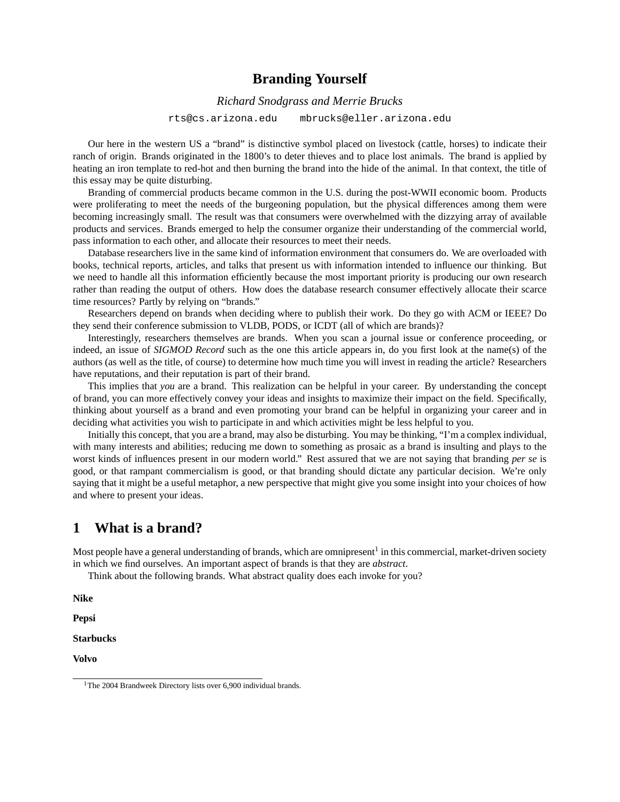# **Branding Yourself**

*Richard Snodgrass and Merrie Brucks*

rts@cs.arizona.edu mbrucks@eller.arizona.edu

Our here in the western US a "brand" is distinctive symbol placed on livestock (cattle, horses) to indicate their ranch of origin. Brands originated in the 1800's to deter thieves and to place lost animals. The brand is applied by heating an iron template to red-hot and then burning the brand into the hide of the animal. In that context, the title of this essay may be quite disturbing.

Branding of commercial products became common in the U.S. during the post-WWII economic boom. Products were proliferating to meet the needs of the burgeoning population, but the physical differences among them were becoming increasingly small. The result was that consumers were overwhelmed with the dizzying array of available products and services. Brands emerged to help the consumer organize their understanding of the commercial world, pass information to each other, and allocate their resources to meet their needs.

Database researchers live in the same kind of information environment that consumers do. We are overloaded with books, technical reports, articles, and talks that present us with information intended to influence our thinking. But we need to handle all this information efficiently because the most important priority is producing our own research rather than reading the output of others. How does the database research consumer effectively allocate their scarce time resources? Partly by relying on "brands."

Researchers depend on brands when deciding where to publish their work. Do they go with ACM or IEEE? Do they send their conference submission to VLDB, PODS, or ICDT (all of which are brands)?

Interestingly, researchers themselves are brands. When you scan a journal issue or conference proceeding, or indeed, an issue of *SIGMOD Record* such as the one this article appears in, do you first look at the name(s) of the authors (as well as the title, of course) to determine how much time you will invest in reading the article? Researchers have reputations, and their reputation is part of their brand.

This implies that *you* are a brand. This realization can be helpful in your career. By understanding the concept of brand, you can more effectively convey your ideas and insights to maximize their impact on the field. Specifically, thinking about yourself as a brand and even promoting your brand can be helpful in organizing your career and in deciding what activities you wish to participate in and which activities might be less helpful to you.

Initially this concept, that you are a brand, may also be disturbing. You may be thinking, "I'm a complex individual, with many interests and abilities; reducing me down to something as prosaic as a brand is insulting and plays to the worst kinds of influences present in our modern world." Rest assured that we are not saying that branding *per se* is good, or that rampant commercialism is good, or that branding should dictate any particular decision. We're only saying that it might be a useful metaphor, a new perspective that might give you some insight into your choices of how and where to present your ideas.

### **1 What is a brand?**

Most people have a general understanding of brands, which are omnipresent<sup>1</sup> in this commercial, market-driven society in which we find ourselves. An important aspect of brands is that they are *abstract*.

Think about the following brands. What abstract quality does each invoke for you?

**Nike**

**Pepsi**

**Starbucks**

**Volvo**

<sup>&</sup>lt;sup>1</sup>The 2004 Brandweek Directory lists over 6,900 individual brands.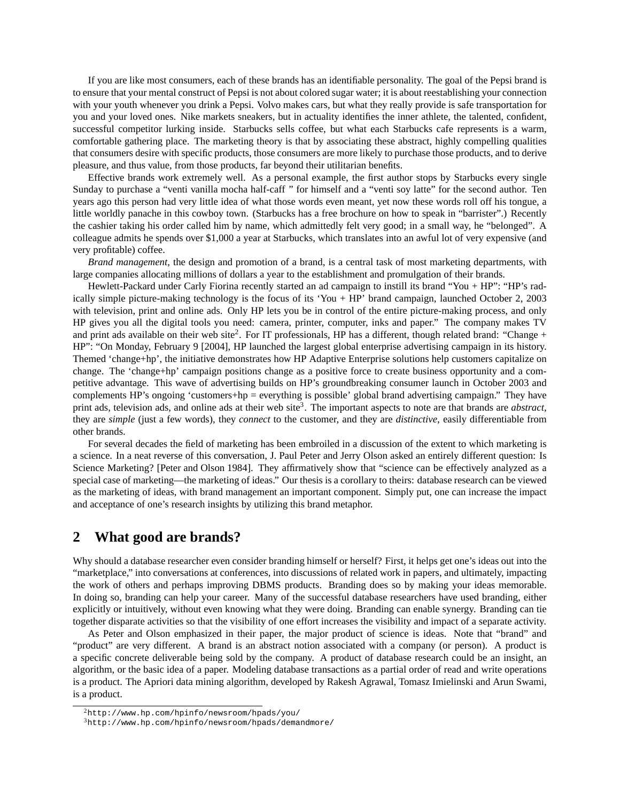If you are like most consumers, each of these brands has an identifiable personality. The goal of the Pepsi brand is to ensure that your mental construct of Pepsi is not about colored sugar water; it is about reestablishing your connection with your youth whenever you drink a Pepsi. Volvo makes cars, but what they really provide is safe transportation for you and your loved ones. Nike markets sneakers, but in actuality identifies the inner athlete, the talented, confident, successful competitor lurking inside. Starbucks sells coffee, but what each Starbucks cafe represents is a warm, comfortable gathering place. The marketing theory is that by associating these abstract, highly compelling qualities that consumers desire with specific products, those consumers are more likely to purchase those products, and to derive pleasure, and thus value, from those products, far beyond their utilitarian benefits.

Effective brands work extremely well. As a personal example, the first author stops by Starbucks every single Sunday to purchase a "venti vanilla mocha half-caff " for himself and a "venti soy latte" for the second author. Ten years ago this person had very little idea of what those words even meant, yet now these words roll off his tongue, a little worldly panache in this cowboy town. (Starbucks has a free brochure on how to speak in "barrister".) Recently the cashier taking his order called him by name, which admittedly felt very good; in a small way, he "belonged". A colleague admits he spends over \$1,000 a year at Starbucks, which translates into an awful lot of very expensive (and very profitable) coffee.

*Brand management*, the design and promotion of a brand, is a central task of most marketing departments, with large companies allocating millions of dollars a year to the establishment and promulgation of their brands.

Hewlett-Packard under Carly Fiorina recently started an ad campaign to instill its brand "You + HP": "HP's radically simple picture-making technology is the focus of its 'You + HP' brand campaign, launched October 2, 2003 with television, print and online ads. Only HP lets you be in control of the entire picture-making process, and only HP gives you all the digital tools you need: camera, printer, computer, inks and paper." The company makes TV and print ads available on their web site<sup>2</sup>. For IT professionals, HP has a different, though related brand: "Change + HP": "On Monday, February 9 [2004], HP launched the largest global enterprise advertising campaign in its history. Themed 'change+hp', the initiative demonstrates how HP Adaptive Enterprise solutions help customers capitalize on change. The 'change+hp' campaign positions change as a positive force to create business opportunity and a competitive advantage. This wave of advertising builds on HP's groundbreaking consumer launch in October 2003 and complements HP's ongoing 'customers+hp = everything is possible' global brand advertising campaign." They have print ads, television ads, and online ads at their web site<sup>3</sup>. The important aspects to note are that brands are *abstract*, they are *simple* (just a few words), they *connect* to the customer, and they are *distinctive*, easily differentiable from other brands.

For several decades the field of marketing has been embroiled in a discussion of the extent to which marketing is a science. In a neat reverse of this conversation, J. Paul Peter and Jerry Olson asked an entirely different question: Is Science Marketing? [Peter and Olson 1984]. They affirmatively show that "science can be effectively analyzed as a special case of marketing—the marketing of ideas." Our thesis is a corollary to theirs: database research can be viewed as the marketing of ideas, with brand management an important component. Simply put, one can increase the impact and acceptance of one's research insights by utilizing this brand metaphor.

# **2 What good are brands?**

Why should a database researcher even consider branding himself or herself? First, it helps get one's ideas out into the "marketplace," into conversations at conferences, into discussions of related work in papers, and ultimately, impacting the work of others and perhaps improving DBMS products. Branding does so by making your ideas memorable. In doing so, branding can help your career. Many of the successful database researchers have used branding, either explicitly or intuitively, without even knowing what they were doing. Branding can enable synergy. Branding can tie together disparate activities so that the visibility of one effort increases the visibility and impact of a separate activity.

As Peter and Olson emphasized in their paper, the major product of science is ideas. Note that "brand" and "product" are very different. A brand is an abstract notion associated with a company (or person). A product is a specific concrete deliverable being sold by the company. A product of database research could be an insight, an algorithm, or the basic idea of a paper. Modeling database transactions as a partial order of read and write operations is a product. The Apriori data mining algorithm, developed by Rakesh Agrawal, Tomasz Imielinski and Arun Swami, is a product.

<sup>2</sup>http://www.hp.com/hpinfo/newsroom/hpads/you/

<sup>3</sup>http://www.hp.com/hpinfo/newsroom/hpads/demandmore/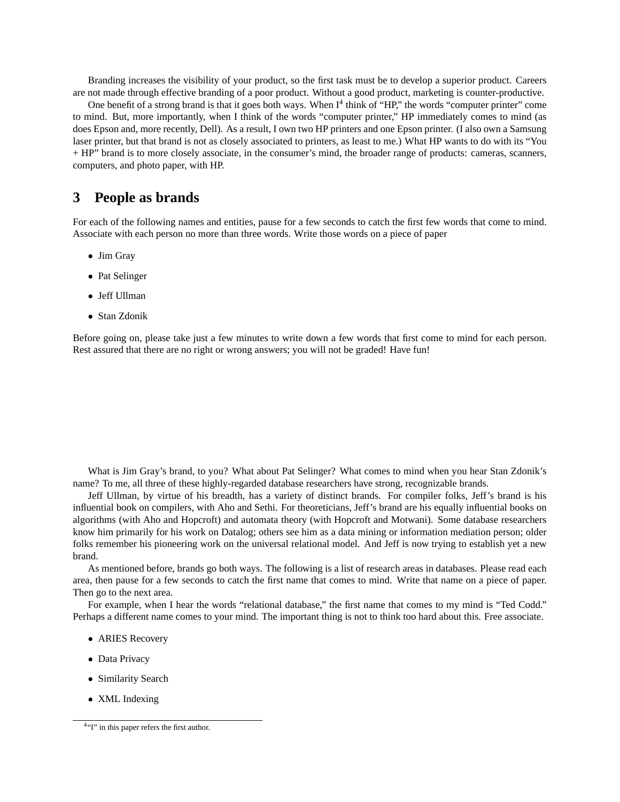Branding increases the visibility of your product, so the first task must be to develop a superior product. Careers are not made through effective branding of a poor product. Without a good product, marketing is counter-productive.

One benefit of a strong brand is that it goes both ways. When  $I^4$  think of "HP," the words "computer printer" come to mind. But, more importantly, when I think of the words "computer printer," HP immediately comes to mind (as does Epson and, more recently, Dell). As a result, I own two HP printers and one Epson printer. (I also own a Samsung laser printer, but that brand is not as closely associated to printers, as least to me.) What HP wants to do with its "You + HP" brand is to more closely associate, in the consumer's mind, the broader range of products: cameras, scanners, computers, and photo paper, with HP.

### **3 People as brands**

For each of the following names and entities, pause for a few seconds to catch the first few words that come to mind. Associate with each person no more than three words. Write those words on a piece of paper

- Jim Gray
- Pat Selinger
- Jeff Ullman
- Stan Zdonik

Before going on, please take just a few minutes to write down a few words that first come to mind for each person. Rest assured that there are no right or wrong answers; you will not be graded! Have fun!

What is Jim Gray's brand, to you? What about Pat Selinger? What comes to mind when you hear Stan Zdonik's name? To me, all three of these highly-regarded database researchers have strong, recognizable brands.

Jeff Ullman, by virtue of his breadth, has a variety of distinct brands. For compiler folks, Jeff's brand is his influential book on compilers, with Aho and Sethi. For theoreticians, Jeff's brand are his equally influential books on algorithms (with Aho and Hopcroft) and automata theory (with Hopcroft and Motwani). Some database researchers know him primarily for his work on Datalog; others see him as a data mining or information mediation person; older folks remember his pioneering work on the universal relational model. And Jeff is now trying to establish yet a new brand.

As mentioned before, brands go both ways. The following is a list of research areas in databases. Please read each area, then pause for a few seconds to catch the first name that comes to mind. Write that name on a piece of paper. Then go to the next area.

For example, when I hear the words "relational database," the first name that comes to my mind is "Ted Codd." Perhaps a different name comes to your mind. The important thing is not to think too hard about this. Free associate.

- ARIES Recovery
- Data Privacy
- Similarity Search
- XML Indexing

<sup>&</sup>lt;sup>4"</sup>I" in this paper refers the first author.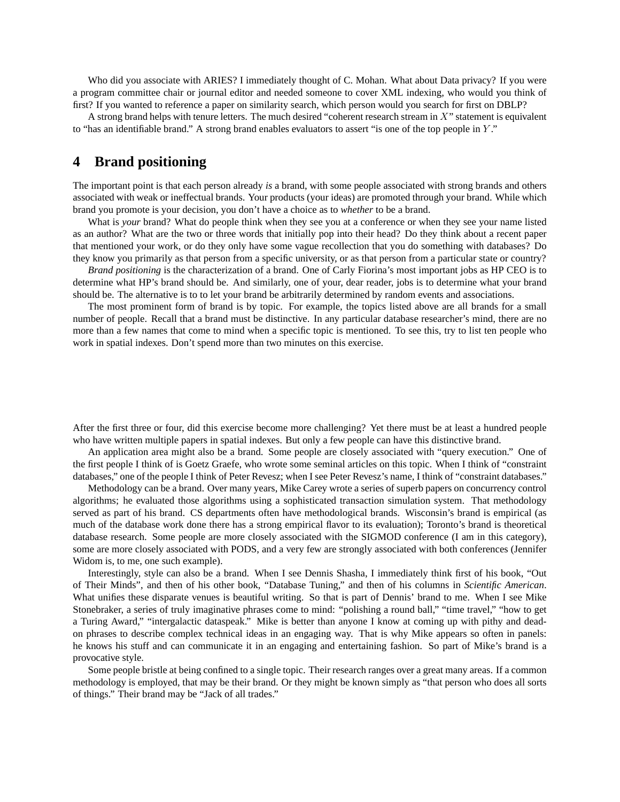Who did you associate with ARIES? I immediately thought of C. Mohan. What about Data privacy? If you were a program committee chair or journal editor and needed someone to cover XML indexing, who would you think of first? If you wanted to reference a paper on similarity search, which person would you search for first on DBLP?

A strong brand helps with tenure letters. The much desired "coherent research stream in  $X$ " statement is equivalent to "has an identifiable brand." A strong brand enables evaluators to assert "is one of the top people in Y."

# **4 Brand positioning**

The important point is that each person already *is* a brand, with some people associated with strong brands and others associated with weak or ineffectual brands. Your products (your ideas) are promoted through your brand. While which brand you promote is your decision, you don't have a choice as to *whether* to be a brand.

What is *your* brand? What do people think when they see you at a conference or when they see your name listed as an author? What are the two or three words that initially pop into their head? Do they think about a recent paper that mentioned your work, or do they only have some vague recollection that you do something with databases? Do they know you primarily as that person from a specific university, or as that person from a particular state or country?

*Brand positioning* is the characterization of a brand. One of Carly Fiorina's most important jobs as HP CEO is to determine what HP's brand should be. And similarly, one of your, dear reader, jobs is to determine what your brand should be. The alternative is to to let your brand be arbitrarily determined by random events and associations.

The most prominent form of brand is by topic. For example, the topics listed above are all brands for a small number of people. Recall that a brand must be distinctive. In any particular database researcher's mind, there are no more than a few names that come to mind when a specific topic is mentioned. To see this, try to list ten people who work in spatial indexes. Don't spend more than two minutes on this exercise.

After the first three or four, did this exercise become more challenging? Yet there must be at least a hundred people who have written multiple papers in spatial indexes. But only a few people can have this distinctive brand.

An application area might also be a brand. Some people are closely associated with "query execution." One of the first people I think of is Goetz Graefe, who wrote some seminal articles on this topic. When I think of "constraint databases," one of the people I think of Peter Revesz; when I see Peter Revesz's name, I think of "constraint databases."

Methodology can be a brand. Over many years, Mike Carey wrote a series of superb papers on concurrency control algorithms; he evaluated those algorithms using a sophisticated transaction simulation system. That methodology served as part of his brand. CS departments often have methodological brands. Wisconsin's brand is empirical (as much of the database work done there has a strong empirical flavor to its evaluation); Toronto's brand is theoretical database research. Some people are more closely associated with the SIGMOD conference (I am in this category), some are more closely associated with PODS, and a very few are strongly associated with both conferences (Jennifer Widom is, to me, one such example).

Interestingly, style can also be a brand. When I see Dennis Shasha, I immediately think first of his book, "Out of Their Minds", and then of his other book, "Database Tuning," and then of his columns in *Scientific American*. What unifies these disparate venues is beautiful writing. So that is part of Dennis' brand to me. When I see Mike Stonebraker, a series of truly imaginative phrases come to mind: "polishing a round ball," "time travel," "how to get a Turing Award," "intergalactic dataspeak." Mike is better than anyone I know at coming up with pithy and deadon phrases to describe complex technical ideas in an engaging way. That is why Mike appears so often in panels: he knows his stuff and can communicate it in an engaging and entertaining fashion. So part of Mike's brand is a provocative style.

Some people bristle at being confined to a single topic. Their research ranges over a great many areas. If a common methodology is employed, that may be their brand. Or they might be known simply as "that person who does all sorts of things." Their brand may be "Jack of all trades."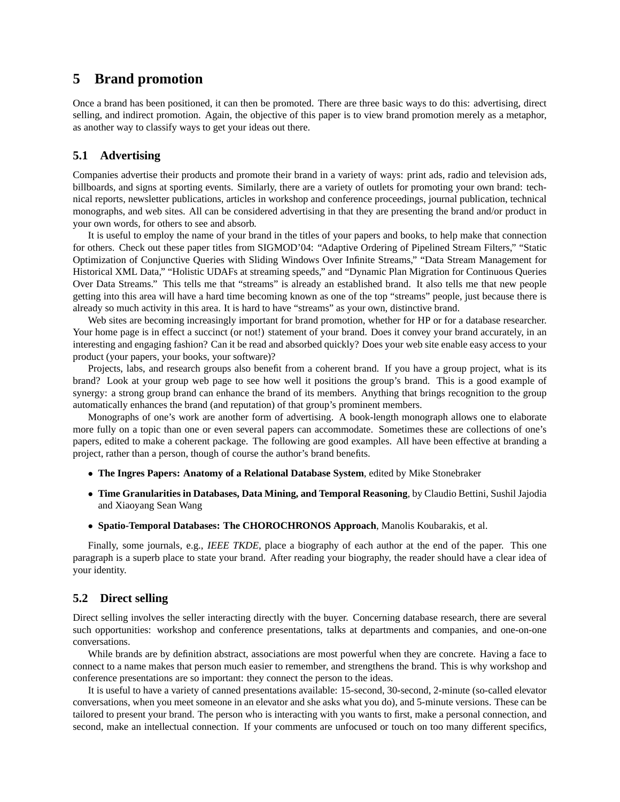# **5 Brand promotion**

Once a brand has been positioned, it can then be promoted. There are three basic ways to do this: advertising, direct selling, and indirect promotion. Again, the objective of this paper is to view brand promotion merely as a metaphor, as another way to classify ways to get your ideas out there.

### **5.1 Advertising**

Companies advertise their products and promote their brand in a variety of ways: print ads, radio and television ads, billboards, and signs at sporting events. Similarly, there are a variety of outlets for promoting your own brand: technical reports, newsletter publications, articles in workshop and conference proceedings, journal publication, technical monographs, and web sites. All can be considered advertising in that they are presenting the brand and/or product in your own words, for others to see and absorb.

It is useful to employ the name of your brand in the titles of your papers and books, to help make that connection for others. Check out these paper titles from SIGMOD'04: "Adaptive Ordering of Pipelined Stream Filters," "Static Optimization of Conjunctive Queries with Sliding Windows Over Infinite Streams," "Data Stream Management for Historical XML Data," "Holistic UDAFs at streaming speeds," and "Dynamic Plan Migration for Continuous Queries Over Data Streams." This tells me that "streams" is already an established brand. It also tells me that new people getting into this area will have a hard time becoming known as one of the top "streams" people, just because there is already so much activity in this area. It is hard to have "streams" as your own, distinctive brand.

Web sites are becoming increasingly important for brand promotion, whether for HP or for a database researcher. Your home page is in effect a succinct (or not!) statement of your brand. Does it convey your brand accurately, in an interesting and engaging fashion? Can it be read and absorbed quickly? Does your web site enable easy access to your product (your papers, your books, your software)?

Projects, labs, and research groups also benefit from a coherent brand. If you have a group project, what is its brand? Look at your group web page to see how well it positions the group's brand. This is a good example of synergy: a strong group brand can enhance the brand of its members. Anything that brings recognition to the group automatically enhances the brand (and reputation) of that group's prominent members.

Monographs of one's work are another form of advertising. A book-length monograph allows one to elaborate more fully on a topic than one or even several papers can accommodate. Sometimes these are collections of one's papers, edited to make a coherent package. The following are good examples. All have been effective at branding a project, rather than a person, though of course the author's brand benefits.

- **The Ingres Papers: Anatomy of a Relational Database System**, edited by Mike Stonebraker
- **Time Granularities in Databases, Data Mining, and Temporal Reasoning**, by Claudio Bettini, Sushil Jajodia and Xiaoyang Sean Wang
- **Spatio-Temporal Databases: The CHOROCHRONOS Approach**, Manolis Koubarakis, et al.

Finally, some journals, e.g., *IEEE TKDE*, place a biography of each author at the end of the paper. This one paragraph is a superb place to state your brand. After reading your biography, the reader should have a clear idea of your identity.

#### **5.2 Direct selling**

Direct selling involves the seller interacting directly with the buyer. Concerning database research, there are several such opportunities: workshop and conference presentations, talks at departments and companies, and one-on-one conversations.

While brands are by definition abstract, associations are most powerful when they are concrete. Having a face to connect to a name makes that person much easier to remember, and strengthens the brand. This is why workshop and conference presentations are so important: they connect the person to the ideas.

It is useful to have a variety of canned presentations available: 15-second, 30-second, 2-minute (so-called elevator conversations, when you meet someone in an elevator and she asks what you do), and 5-minute versions. These can be tailored to present your brand. The person who is interacting with you wants to first, make a personal connection, and second, make an intellectual connection. If your comments are unfocused or touch on too many different specifics,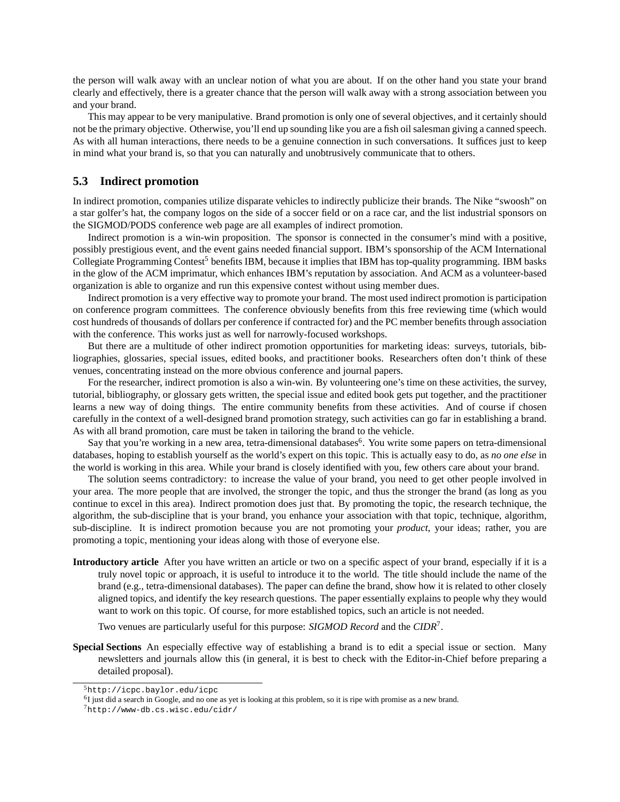the person will walk away with an unclear notion of what you are about. If on the other hand you state your brand clearly and effectively, there is a greater chance that the person will walk away with a strong association between you and your brand.

This may appear to be very manipulative. Brand promotion is only one of several objectives, and it certainly should not be the primary objective. Otherwise, you'll end up sounding like you are a fish oil salesman giving a canned speech. As with all human interactions, there needs to be a genuine connection in such conversations. It suffices just to keep in mind what your brand is, so that you can naturally and unobtrusively communicate that to others.

#### **5.3 Indirect promotion**

In indirect promotion, companies utilize disparate vehicles to indirectly publicize their brands. The Nike "swoosh" on a star golfer's hat, the company logos on the side of a soccer field or on a race car, and the list industrial sponsors on the SIGMOD/PODS conference web page are all examples of indirect promotion.

Indirect promotion is a win-win proposition. The sponsor is connected in the consumer's mind with a positive, possibly prestigious event, and the event gains needed financial support. IBM's sponsorship of the ACM International Collegiate Programming Contest<sup>5</sup> benefits IBM, because it implies that IBM has top-quality programming. IBM basks in the glow of the ACM imprimatur, which enhances IBM's reputation by association. And ACM as a volunteer-based organization is able to organize and run this expensive contest without using member dues.

Indirect promotion is a very effective way to promote your brand. The most used indirect promotion is participation on conference program committees. The conference obviously benefits from this free reviewing time (which would cost hundreds of thousands of dollars per conference if contracted for) and the PC member benefits through association with the conference. This works just as well for narrowly-focused workshops.

But there are a multitude of other indirect promotion opportunities for marketing ideas: surveys, tutorials, bibliographies, glossaries, special issues, edited books, and practitioner books. Researchers often don't think of these venues, concentrating instead on the more obvious conference and journal papers.

For the researcher, indirect promotion is also a win-win. By volunteering one's time on these activities, the survey, tutorial, bibliography, or glossary gets written, the special issue and edited book gets put together, and the practitioner learns a new way of doing things. The entire community benefits from these activities. And of course if chosen carefully in the context of a well-designed brand promotion strategy, such activities can go far in establishing a brand. As with all brand promotion, care must be taken in tailoring the brand to the vehicle.

Say that you're working in a new area, tetra-dimensional databases<sup>6</sup>. You write some papers on tetra-dimensional databases, hoping to establish yourself as the world's expert on this topic. This is actually easy to do, as *no one else* in the world is working in this area. While your brand is closely identified with you, few others care about your brand.

The solution seems contradictory: to increase the value of your brand, you need to get other people involved in your area. The more people that are involved, the stronger the topic, and thus the stronger the brand (as long as you continue to excel in this area). Indirect promotion does just that. By promoting the topic, the research technique, the algorithm, the sub-discipline that is your brand, you enhance your association with that topic, technique, algorithm, sub-discipline. It is indirect promotion because you are not promoting your *product*, your ideas; rather, you are promoting a topic, mentioning your ideas along with those of everyone else.

**Introductory article** After you have written an article or two on a specific aspect of your brand, especially if it is a truly novel topic or approach, it is useful to introduce it to the world. The title should include the name of the brand (e.g., tetra-dimensional databases). The paper can define the brand, show how it is related to other closely aligned topics, and identify the key research questions. The paper essentially explains to people why they would want to work on this topic. Of course, for more established topics, such an article is not needed.

Two venues are particularly useful for this purpose: *SIGMOD Record* and the *CIDR*<sup>7</sup> .

**Special Sections** An especially effective way of establishing a brand is to edit a special issue or section. Many newsletters and journals allow this (in general, it is best to check with the Editor-in-Chief before preparing a detailed proposal).

<sup>5</sup>http://icpc.baylor.edu/icpc

<sup>&</sup>lt;sup>6</sup>I just did a search in Google, and no one as yet is looking at this problem, so it is ripe with promise as a new brand.

<sup>7</sup>http://www-db.cs.wisc.edu/cidr/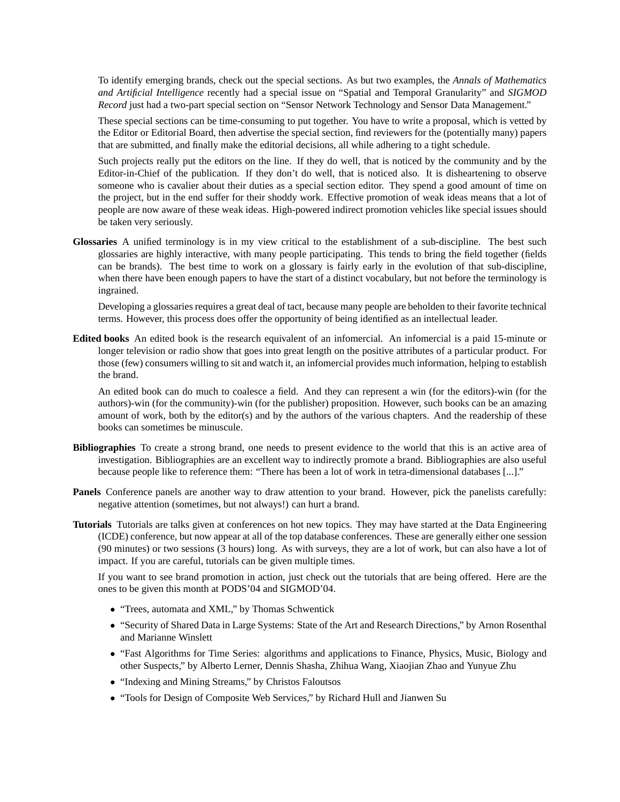To identify emerging brands, check out the special sections. As but two examples, the *Annals of Mathematics and Artificial Intelligence* recently had a special issue on "Spatial and Temporal Granularity" and *SIGMOD Record* just had a two-part special section on "Sensor Network Technology and Sensor Data Management."

These special sections can be time-consuming to put together. You have to write a proposal, which is vetted by the Editor or Editorial Board, then advertise the special section, find reviewers for the (potentially many) papers that are submitted, and finally make the editorial decisions, all while adhering to a tight schedule.

Such projects really put the editors on the line. If they do well, that is noticed by the community and by the Editor-in-Chief of the publication. If they don't do well, that is noticed also. It is disheartening to observe someone who is cavalier about their duties as a special section editor. They spend a good amount of time on the project, but in the end suffer for their shoddy work. Effective promotion of weak ideas means that a lot of people are now aware of these weak ideas. High-powered indirect promotion vehicles like special issues should be taken very seriously.

**Glossaries** A unified terminology is in my view critical to the establishment of a sub-discipline. The best such glossaries are highly interactive, with many people participating. This tends to bring the field together (fields can be brands). The best time to work on a glossary is fairly early in the evolution of that sub-discipline, when there have been enough papers to have the start of a distinct vocabulary, but not before the terminology is ingrained.

Developing a glossaries requires a great deal of tact, because many people are beholden to their favorite technical terms. However, this process does offer the opportunity of being identified as an intellectual leader.

**Edited books** An edited book is the research equivalent of an infomercial. An infomercial is a paid 15-minute or longer television or radio show that goes into great length on the positive attributes of a particular product. For those (few) consumers willing to sit and watch it, an infomercial provides much information, helping to establish the brand.

An edited book can do much to coalesce a field. And they can represent a win (for the editors)-win (for the authors)-win (for the community)-win (for the publisher) proposition. However, such books can be an amazing amount of work, both by the editor(s) and by the authors of the various chapters. And the readership of these books can sometimes be minuscule.

- **Bibliographies** To create a strong brand, one needs to present evidence to the world that this is an active area of investigation. Bibliographies are an excellent way to indirectly promote a brand. Bibliographies are also useful because people like to reference them: "There has been a lot of work in tetra-dimensional databases [...]."
- **Panels** Conference panels are another way to draw attention to your brand. However, pick the panelists carefully: negative attention (sometimes, but not always!) can hurt a brand.
- **Tutorials** Tutorials are talks given at conferences on hot new topics. They may have started at the Data Engineering (ICDE) conference, but now appear at all of the top database conferences. These are generally either one session (90 minutes) or two sessions (3 hours) long. As with surveys, they are a lot of work, but can also have a lot of impact. If you are careful, tutorials can be given multiple times.

If you want to see brand promotion in action, just check out the tutorials that are being offered. Here are the ones to be given this month at PODS'04 and SIGMOD'04.

- "Trees, automata and XML," by Thomas Schwentick
- "Security of Shared Data in Large Systems: State of the Art and Research Directions," by Arnon Rosenthal and Marianne Winslett
- "Fast Algorithms for Time Series: algorithms and applications to Finance, Physics, Music, Biology and other Suspects," by Alberto Lerner, Dennis Shasha, Zhihua Wang, Xiaojian Zhao and Yunyue Zhu
- "Indexing and Mining Streams," by Christos Faloutsos
- "Tools for Design of Composite Web Services," by Richard Hull and Jianwen Su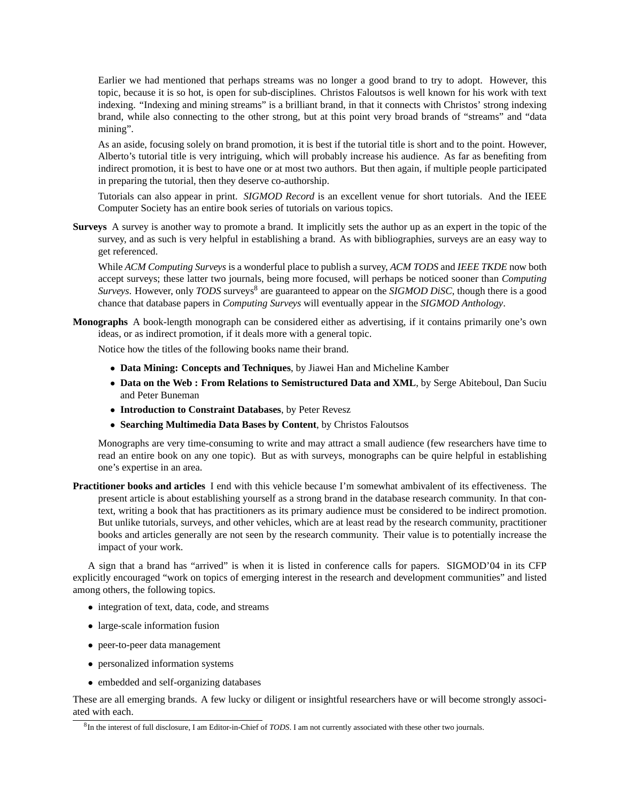Earlier we had mentioned that perhaps streams was no longer a good brand to try to adopt. However, this topic, because it is so hot, is open for sub-disciplines. Christos Faloutsos is well known for his work with text indexing. "Indexing and mining streams" is a brilliant brand, in that it connects with Christos' strong indexing brand, while also connecting to the other strong, but at this point very broad brands of "streams" and "data mining".

As an aside, focusing solely on brand promotion, it is best if the tutorial title is short and to the point. However, Alberto's tutorial title is very intriguing, which will probably increase his audience. As far as benefiting from indirect promotion, it is best to have one or at most two authors. But then again, if multiple people participated in preparing the tutorial, then they deserve co-authorship.

Tutorials can also appear in print. *SIGMOD Record* is an excellent venue for short tutorials. And the IEEE Computer Society has an entire book series of tutorials on various topics.

**Surveys** A survey is another way to promote a brand. It implicitly sets the author up as an expert in the topic of the survey, and as such is very helpful in establishing a brand. As with bibliographies, surveys are an easy way to get referenced.

While *ACM Computing Surveys* is a wonderful place to publish a survey, *ACM TODS* and *IEEE TKDE* now both accept surveys; these latter two journals, being more focused, will perhaps be noticed sooner than *Computing Surveys*. However, only *TODS* surveys<sup>8</sup> are guaranteed to appear on the *SIGMOD DiSC*, though there is a good chance that database papers in *Computing Surveys* will eventually appear in the *SIGMOD Anthology*.

**Monographs** A book-length monograph can be considered either as advertising, if it contains primarily one's own ideas, or as indirect promotion, if it deals more with a general topic.

Notice how the titles of the following books name their brand.

- **Data Mining: Concepts and Techniques**, by Jiawei Han and Micheline Kamber
- **Data on the Web : From Relations to Semistructured Data and XML**, by Serge Abiteboul, Dan Suciu and Peter Buneman
- **Introduction to Constraint Databases**, by Peter Revesz
- **Searching Multimedia Data Bases by Content**, by Christos Faloutsos

Monographs are very time-consuming to write and may attract a small audience (few researchers have time to read an entire book on any one topic). But as with surveys, monographs can be quire helpful in establishing one's expertise in an area.

**Practitioner books and articles** I end with this vehicle because I'm somewhat ambivalent of its effectiveness. The present article is about establishing yourself as a strong brand in the database research community. In that context, writing a book that has practitioners as its primary audience must be considered to be indirect promotion. But unlike tutorials, surveys, and other vehicles, which are at least read by the research community, practitioner books and articles generally are not seen by the research community. Their value is to potentially increase the impact of your work.

A sign that a brand has "arrived" is when it is listed in conference calls for papers. SIGMOD'04 in its CFP explicitly encouraged "work on topics of emerging interest in the research and development communities" and listed among others, the following topics.

- integration of text, data, code, and streams
- large-scale information fusion
- peer-to-peer data management
- personalized information systems
- embedded and self-organizing databases

These are all emerging brands. A few lucky or diligent or insightful researchers have or will become strongly associated with each.

<sup>8</sup> In the interest of full disclosure, I am Editor-in-Chief of *TODS*. I am not currently associated with these other two journals.